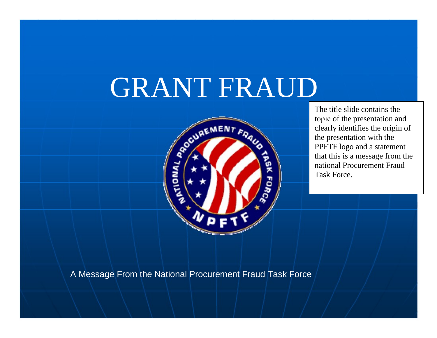# GRANT FRAUD



The title slide contains the topic of the presentation and clearly identifies the origin of the presentation with the PPFTF logo and a statement that this is a message from the national Procurement Fraud Task Force.

A Message From the National Procurement Fraud Task Force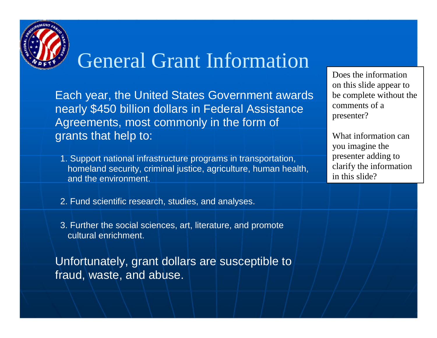

## General Grant Information

Each year, the United States Government awards nearly \$450 billion dollars in Federal Assistance Agreements, most commonly in the form of grants that help to:

1. Support national infrastructure programs in transportation, homeland security, criminal justice, agriculture, human health, and the environment.

Does the information on this slide appear to be complete without the comments of a presenter?

What information can you imagine the presenter adding to clarify the information in this slide?

- 2. Fund scientific research, studies, and analyses.
- 3. Further the social sciences, art, literature, and promote cultural enrichment.

Unfortunately, grant dollars are susceptible to fraud, waste, and abuse.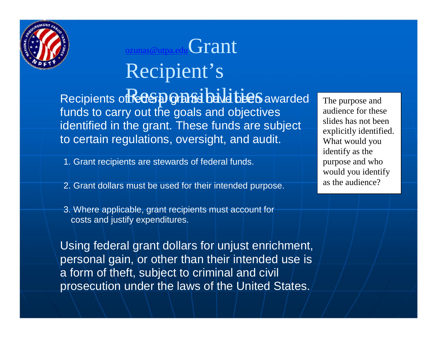

## Grant Recipient's

Recipients of **Recas ponents** have been awarded funds to carry out the goals and objectives identified in the grant. These funds are subject to certain regulations, oversight, and audit.

- 1. Grant recipients are stewards of federal funds.
- 2. Grant dollars must be used for their intended purpose.
- 3. Where applicable, grant recipients must account for costs and justify expenditures.

Using federal grant dollars for unjust enrichment, personal gain, or other than their intended use is a form of theft, subject to criminal and civil prosecution under the laws of the United States.

The purpose and audience for these slides has not been explicitly identified. What would you identify as the purpose and who would you identify as the audience?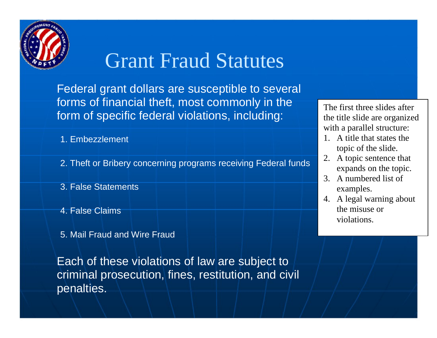

## Grant Fraud Statutes

Federal grant dollars are susceptible to several forms of financial theft, most commonly in the form of specific federal violations, including:

- 1. Embezzlement
- 2. Theft or Bribery concerning programs receiving Federal funds
- 3. False Statements
- 4. False Claims
- 5. Mail Fraud and Wire Fraud

Each of these violations of law are subject to criminal prosecution, fines, restitution, and civil penalties.

The first three slides after the title slide are organized with a parallel structure:

- 1. A title that states the topic of the slide.
- 2. A topic sentence that expands on the topic.
- 3. A numbered list of examples.
- 4. A legal warning about the misuse or violations.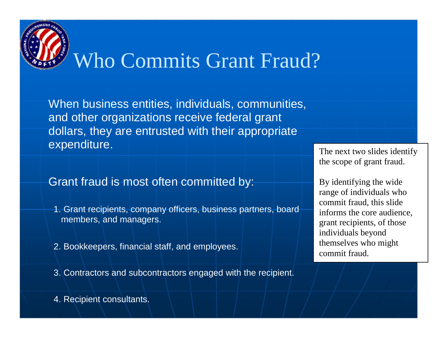# Who Commits Grant Fraud?

When business entities, individuals, communities, and other organizations receive federal grant dollars, they are entrusted with their appropriate expenditure.

#### Grant fraud is most often committed by:

- 1. Grant recipients, company officers, business partners, board members, and managers.
- 2. Bookkeepers, financial staff, and employees.
- 3. Contractors and subcontractors engaged with the recipient.

The next two slides identify the scope of grant fraud.

By identifying the wide range of individuals who commit fraud, this slide informs the core audience, grant recipients, of those individuals beyond themselves who might commit fraud.

4. Recipient consultants.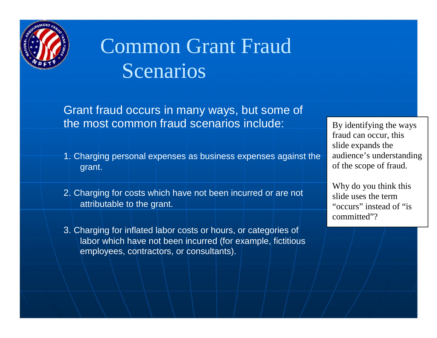

## Common Grant Fraud Scenarios

Grant fraud occurs in many ways, but some of the most common fraud scenarios include:

- 1. Charging personal expenses as business expenses against the grant.
- 2. Charging for costs which have not been incurred or are not attributable to the grant.
- 3. Charging for inflated labor costs or hours, or categories of labor which have not been incurred (for example, fictitious employees, contractors, or consultants).

By identifying the ways fraud can occur, this slide expands the audience's understanding of the scope of fraud.

Why do you think this slide uses the term "occurs" instead of "is committed"?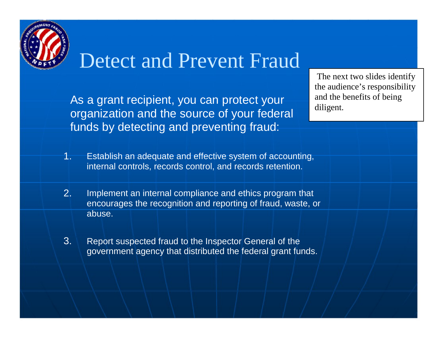

### Detect and Prevent Fraud

As a grant recipient, you can protect your organization and the source of your federal funds by detecting and preventing fraud:

The next two slides identify the audience's responsibility and the benefits of being diligent.

- 1. Establish an adequate and effective system of accounting, internal controls, records control, and records retention.
- 2. Implement an internal compliance and ethics program that encourages the recognition and reporting of fraud, waste, or abuse.
- Report suspected fraud to the Inspector General of the government agency that distributed the federal grant funds. 3.